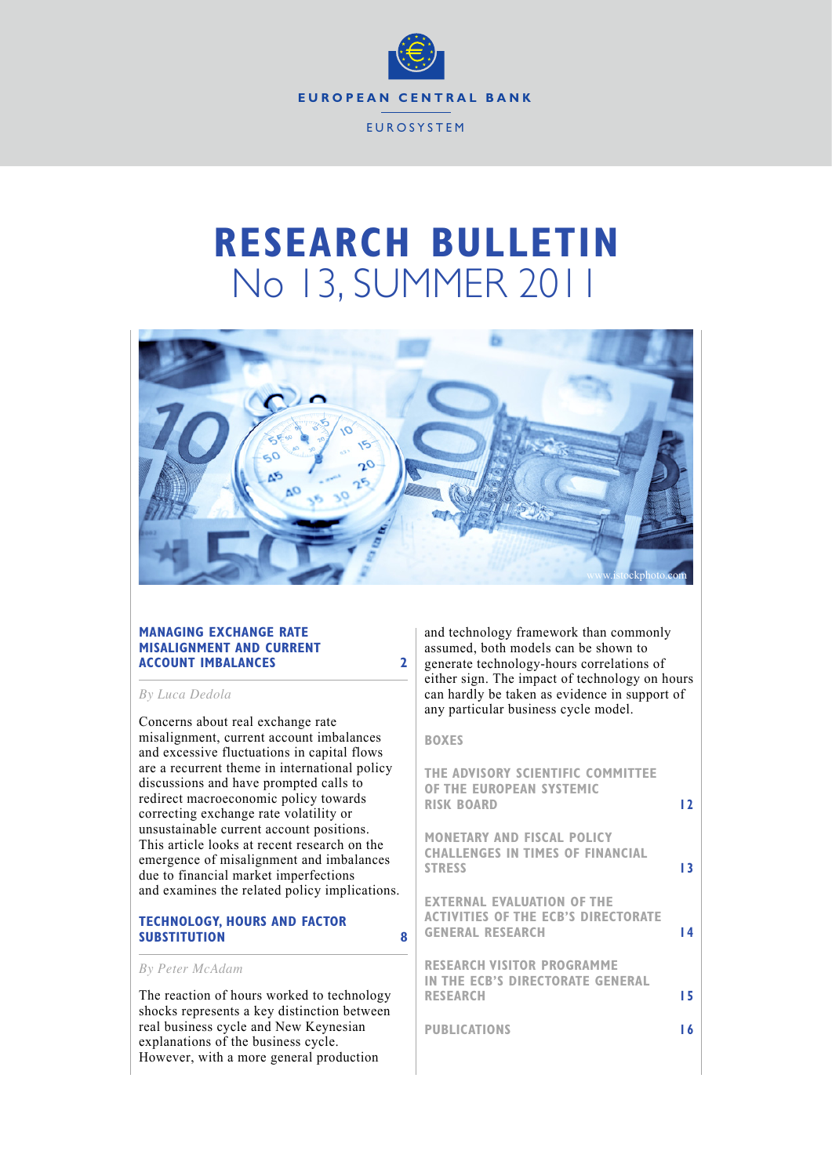

# **RESEARCH BULLETIN** No 13, SUMMER 2011



#### **MANAGING EXCHANGE RATE MISALIGNMENT AND CURRENT ACCOUNT IMBALANCES 2**

*By Luca Dedola*

Concerns about real exchange rate misalignment, current account imbalances and excessive fluctuations in capital flows are a recurrent theme in international policy discussions and have prompted calls to redirect macroeconomic policy towards correcting exchange rate volatility or unsustainable current account positions. This article looks at recent research on the emergence of misalignment and imbalances due to financial market imperfections and examines the related policy implications.

# **TECHNOLOGY, HOURS AND FACTOR SUBSTITUTION 8**

#### *By Peter McAdam*

The reaction of hours worked to technology shocks represents a key distinction between real business cycle and New Keynesian explanations of the business cycle. However, with a more general production

and technology framework than commonly assumed, both models can be shown to generate technology-hours correlations of either sign. The impact of technology on hours can hardly be taken as evidence in support of any particular business cycle model.

#### **BOXES**

| THE ADVISORY SCIENTIFIC COMMITTEE<br>OF THE EUROPEAN SYSTEMIC<br><b>RISK BOARD</b>                  | 12  |
|-----------------------------------------------------------------------------------------------------|-----|
| <b>MONETARY AND FISCAL POLICY</b><br><b>CHALLENGES IN TIMES OF FINANCIAL</b><br><b>STRESS</b>       | ۱3  |
| <b>EXTERNAL EVALUATION OF THE</b><br>ACTIVITIES OF THE ECB'S DIRECTORATE<br><b>GENERAL RESEARCH</b> | ا 4 |
| <b>RESEARCH VISITOR PROGRAMME</b><br>IN THE ECB'S DIRECTORATE GENERAL<br><b>RESEARCH</b>            | 15  |
| <b>PUBLICATIONS</b>                                                                                 | -6  |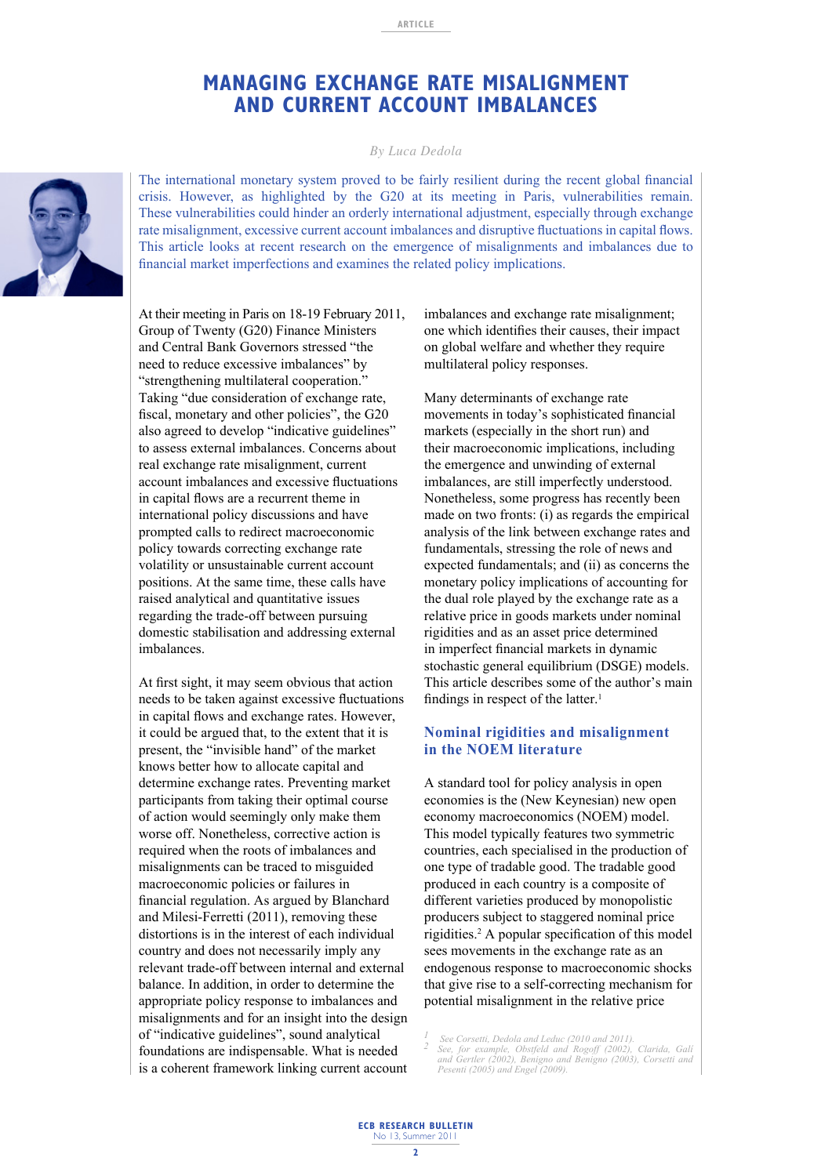# **MANAGING EXCHANGE RATE MISALIGNMENT AND CURRENT ACCOUNT IMBALANCES**

*By Luca Dedola*

The international monetary system proved to be fairly resilient during the recent global financial crisis. However, as highlighted by the G20 at its meeting in Paris, vulnerabilities remain. These vulnerabilities could hinder an orderly international adjustment, especially through exchange rate misalignment, excessive current account imbalances and disruptive fluctuations in capital flows. This article looks at recent research on the emergence of misalignments and imbalances due to financial market imperfections and examines the related policy implications.

At their meeting in Paris on 18-19 February 2011, Group of Twenty (G20) Finance Ministers and Central Bank Governors stressed "the need to reduce excessive imbalances" by "strengthening multilateral cooperation." Taking "due consideration of exchange rate, fiscal, monetary and other policies", the G20 also agreed to develop "indicative guidelines" to assess external imbalances. Concerns about real exchange rate misalignment, current account imbalances and excessive fluctuations in capital flows are a recurrent theme in international policy discussions and have prompted calls to redirect macroeconomic policy towards correcting exchange rate volatility or unsustainable current account positions. At the same time, these calls have raised analytical and quantitative issues regarding the trade-off between pursuing domestic stabilisation and addressing external imbalances.

At first sight, it may seem obvious that action needs to be taken against excessive fluctuations in capital flows and exchange rates. However, it could be argued that, to the extent that it is present, the "invisible hand" of the market knows better how to allocate capital and determine exchange rates. Preventing market participants from taking their optimal course of action would seemingly only make them worse off. Nonetheless, corrective action is required when the roots of imbalances and misalignments can be traced to misguided macroeconomic policies or failures in financial regulation. As argued by Blanchard and Milesi-Ferretti (2011), removing these distortions is in the interest of each individual country and does not necessarily imply any relevant trade-off between internal and external balance. In addition, in order to determine the appropriate policy response to imbalances and misalignments and for an insight into the design of "indicative guidelines", sound analytical foundations are indispensable. What is needed is a coherent framework linking current account imbalances and exchange rate misalignment; one which identifies their causes, their impact on global welfare and whether they require multilateral policy responses.

Many determinants of exchange rate movements in today's sophisticated financial markets (especially in the short run) and their macroeconomic implications, including the emergence and unwinding of external imbalances, are still imperfectly understood. Nonetheless, some progress has recently been made on two fronts: (i) as regards the empirical analysis of the link between exchange rates and fundamentals, stressing the role of news and expected fundamentals; and (ii) as concerns the monetary policy implications of accounting for the dual role played by the exchange rate as a relative price in goods markets under nominal rigidities and as an asset price determined in imperfect financial markets in dynamic stochastic general equilibrium (DSGE) models. This article describes some of the author's main findings in respect of the latter.<sup>1</sup>

# **Nominal rigidities and misalignment in the NOEM literature**

A standard tool for policy analysis in open economies is the (New Keynesian) new open economy macroeconomics (NOEM) model. This model typically features two symmetric countries, each specialised in the production of one type of tradable good. The tradable good produced in each country is a composite of different varieties produced by monopolistic producers subject to staggered nominal price rigidities.<sup>2</sup> A popular specification of this model sees movements in the exchange rate as an endogenous response to macroeconomic shocks that give rise to a self-correcting mechanism for potential misalignment in the relative price

 *See Corsetti, Dedola and Leduc (2010 and 2011). 1* 

<sup>2</sup> See, for example, Obstfeld and Rogoff (2002), Clarida, Galí and Gertler (2002), Benigno and Benigno (2003), Corsetti and Pesenti (2005) and Engel (2009).

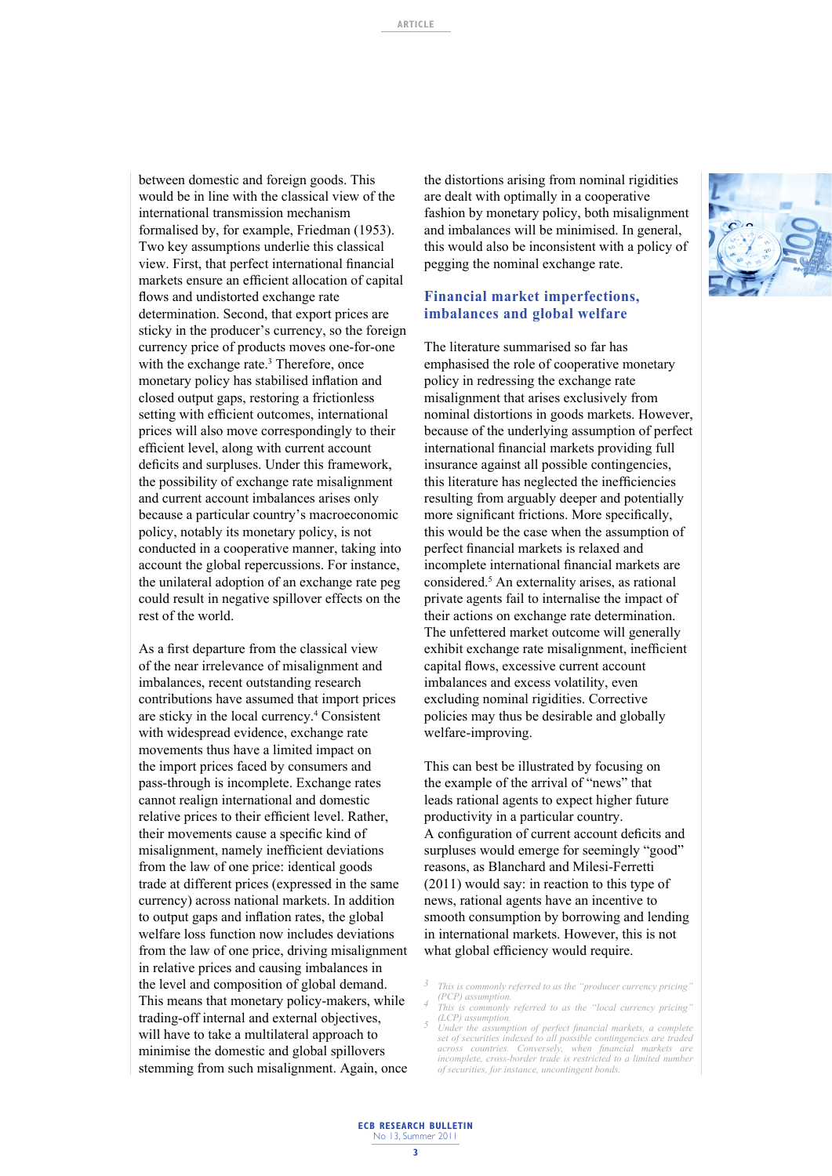between domestic and foreign goods. This would be in line with the classical view of the international transmission mechanism formalised by, for example, Friedman (1953). Two key assumptions underlie this classical view. First, that perfect international financial markets ensure an efficient allocation of capital flows and undistorted exchange rate determination. Second, that export prices are sticky in the producer's currency, so the foreign currency price of products moves one-for-one with the exchange rate.<sup>3</sup> Therefore, once monetary policy has stabilised inflation and closed output gaps, restoring a frictionless setting with efficient outcomes, international prices will also move correspondingly to their efficient level, along with current account deficits and surpluses. Under this framework, the possibility of exchange rate misalignment and current account imbalances arises only because a particular country's macroeconomic policy, notably its monetary policy, is not conducted in a cooperative manner, taking into account the global repercussions. For instance, the unilateral adoption of an exchange rate peg could result in negative spillover effects on the rest of the world.

As a first departure from the classical view of the near irrelevance of misalignment and imbalances, recent outstanding research contributions have assumed that import prices are sticky in the local currency.4 Consistent with widespread evidence, exchange rate movements thus have a limited impact on the import prices faced by consumers and pass-through is incomplete. Exchange rates cannot realign international and domestic relative prices to their efficient level. Rather, their movements cause a specific kind of misalignment, namely inefficient deviations from the law of one price: identical goods trade at different prices (expressed in the same currency) across national markets. In addition to output gaps and inflation rates, the global welfare loss function now includes deviations from the law of one price, driving misalignment in relative prices and causing imbalances in the level and composition of global demand. This means that monetary policy-makers, while trading-off internal and external objectives, will have to take a multilateral approach to minimise the domestic and global spillovers stemming from such misalignment. Again, once

the distortions arising from nominal rigidities are dealt with optimally in a cooperative fashion by monetary policy, both misalignment and imbalances will be minimised. In general, this would also be inconsistent with a policy of pegging the nominal exchange rate.

#### **Financial market imperfections, imbalances and global welfare**

The literature summarised so far has emphasised the role of cooperative monetary policy in redressing the exchange rate misalignment that arises exclusively from nominal distortions in goods markets. However, because of the underlying assumption of perfect international financial markets providing full insurance against all possible contingencies, this literature has neglected the inefficiencies resulting from arguably deeper and potentially more significant frictions. More specifically, this would be the case when the assumption of perfect financial markets is relaxed and incomplete international financial markets are considered.5 An externality arises, as rational private agents fail to internalise the impact of their actions on exchange rate determination. The unfettered market outcome will generally exhibit exchange rate misalignment, inefficient capital flows, excessive current account imbalances and excess volatility, even excluding nominal rigidities. Corrective policies may thus be desirable and globally welfare-improving.

This can best be illustrated by focusing on the example of the arrival of "news" that leads rational agents to expect higher future productivity in a particular country. A configuration of current account deficits and surpluses would emerge for seemingly "good" reasons, as Blanchard and Milesi-Ferretti (2011) would say: in reaction to this type of news, rational agents have an incentive to smooth consumption by borrowing and lending in international markets. However, this is not what global efficiency would require.



*This is commonly referred to as the "producer currency pricing" 3 (PCP) assumption.*

*This is commonly referred to as the "local currency pricing" 4 (LCP) assumption.*

<sup>&</sup>lt;sup>5</sup> Under the assumption of perfect financial markets, a complete set of securities indexed to all possible contingencies are traded across countries. Conversely, when financial markets are *incomplete, cross-border trade is restricted to a limited number of securities, for instance, uncontingent bonds.*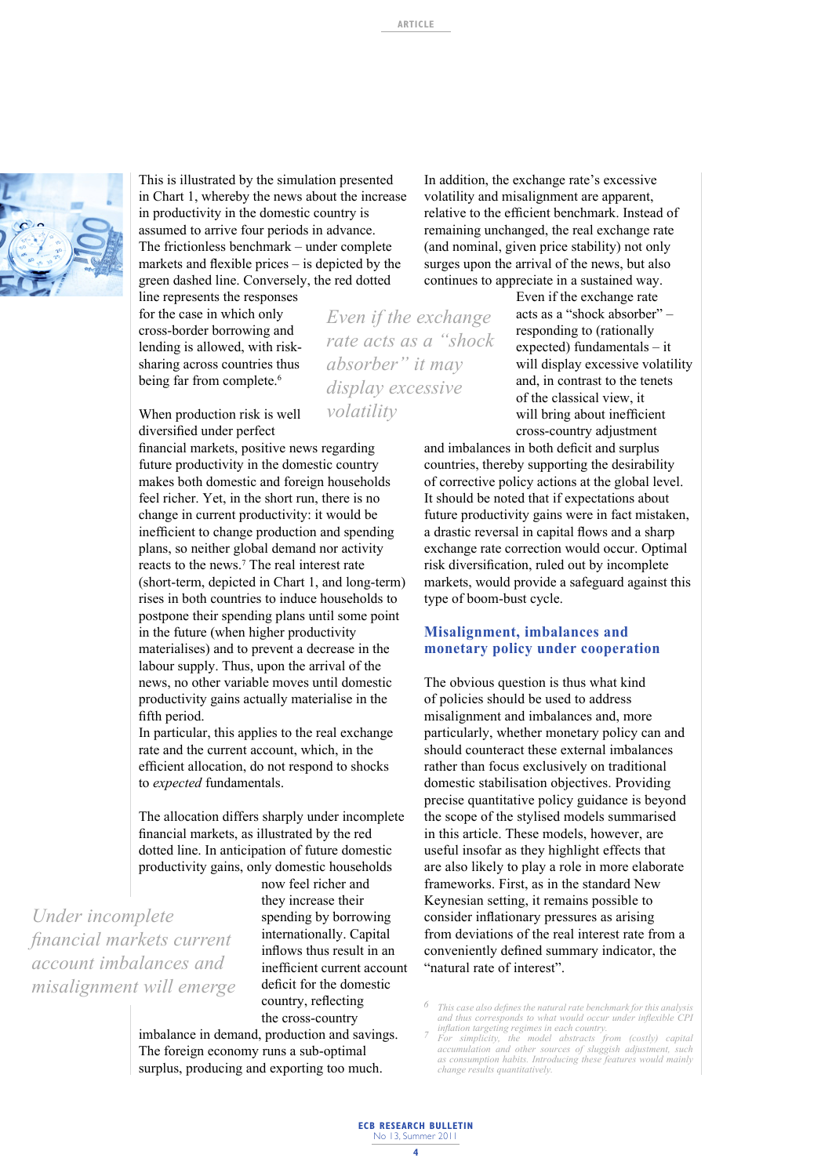

This is illustrated by the simulation presented in Chart 1, whereby the news about the increase in productivity in the domestic country is assumed to arrive four periods in advance. The frictionless benchmark – under complete markets and flexible prices  $-$  is depicted by the green dashed line. Conversely, the red dotted

line represents the responses for the case in which only cross-border borrowing and lending is allowed, with risksharing across countries thus being far from complete.<sup>6</sup>

When production risk is well diversified under perfect

financial markets, positive news regarding future productivity in the domestic country makes both domestic and foreign households feel richer. Yet, in the short run, there is no change in current productivity: it would be inefficient to change production and spending plans, so neither global demand nor activity reacts to the news.7 The real interest rate (short-term, depicted in Chart 1, and long-term) rises in both countries to induce households to postpone their spending plans until some point in the future (when higher productivity materialises) and to prevent a decrease in the labour supply. Thus, upon the arrival of the news, no other variable moves until domestic productivity gains actually materialise in the fifth period.

In particular, this applies to the real exchange rate and the current account, which, in the efficient allocation, do not respond to shocks to *expected* fundamentals.

The allocation differs sharply under incomplete financial markets, as illustrated by the red dotted line. In anticipation of future domestic productivity gains, only domestic households

*Under incomplete fi nancial markets current account imbalances and misalignment will emerge* now feel richer and they increase their spending by borrowing internationally. Capital inflows thus result in an inefficient current account deficit for the domestic country, reflecting the cross-country

imbalance in demand, production and savings. The foreign economy runs a sub-optimal surplus, producing and exporting too much.

In addition, the exchange rate's excessive volatility and misalignment are apparent, relative to the efficient benchmark. Instead of remaining unchanged, the real exchange rate (and nominal, given price stability) not only surges upon the arrival of the news, but also continues to appreciate in a sustained way.

*Even if the exchange rate acts as a "shock absorber" it may display excessive volatility*

Even if the exchange rate acts as a "shock absorber" – responding to (rationally expected) fundamentals – it will display excessive volatility and, in contrast to the tenets of the classical view, it will bring about inefficient cross-country adjustment

and imbalances in both deficit and surplus countries, thereby supporting the desirability of corrective policy actions at the global level. It should be noted that if expectations about future productivity gains were in fact mistaken, a drastic reversal in capital flows and a sharp exchange rate correction would occur. Optimal risk diversification, ruled out by incomplete markets, would provide a safeguard against this type of boom-bust cycle.

# **Misalignment, imbalances and monetary policy under cooperation**

The obvious question is thus what kind of policies should be used to address misalignment and imbalances and, more particularly, whether monetary policy can and should counteract these external imbalances rather than focus exclusively on traditional domestic stabilisation objectives. Providing precise quantitative policy guidance is beyond the scope of the stylised models summarised in this article. These models, however, are useful insofar as they highlight effects that are also likely to play a role in more elaborate frameworks. First, as in the standard New Keynesian setting, it remains possible to consider inflationary pressures as arising from deviations of the real interest rate from a conveniently defined summary indicator, the "natural rate of interest".

<sup>&</sup>lt;sup>6</sup> *This case also defines the natural rate benchmark for this analysis* and thus corresponds to what would occur under inflexible CPI *inflation targeting regimes in each country.*<br><sup>7</sup> *For simplicity, the model abstracts from (costly) capital* 

accumulation and other sources of sluggish adjustment, *as consumption habits. Introducing these features would mainly change results quantitatively.*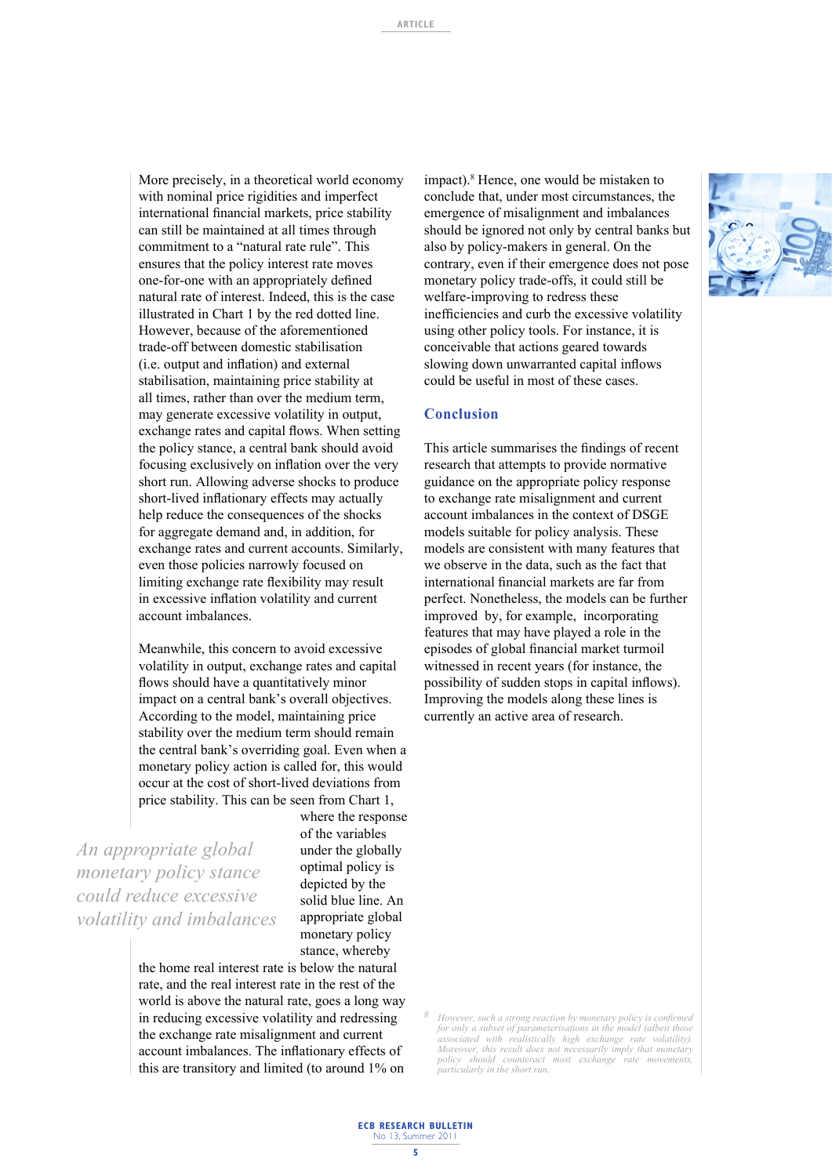More precisely, in a theoretical world economy with nominal price rigidities and imperfect international financial markets, price stability can still be maintained at all times through commitment to a "natural rate rule". This ensures that the policy interest rate moves one-for-one with an appropriately defined natural rate of interest. Indeed, this is the case illustrated in Chart 1 by the red dotted line. However, because of the aforementioned trade-off between domestic stabilisation (i.e. output and inflation) and external stabilisation, maintaining price stability at all times, rather than over the medium term, may generate excessive volatility in output, exchange rates and capital flows. When setting the policy stance, a central bank should avoid focusing exclusively on inflation over the very short run. Allowing adverse shocks to produce short-lived inflationary effects may actually help reduce the consequences of the shocks for aggregate demand and, in addition, for exchange rates and current accounts. Similarly, even those policies narrowly focused on limiting exchange rate flexibility may result in excessive inflation volatility and current account imbalances.

Meanwhile, this concern to avoid excessive volatility in output, exchange rates and capital flows should have a quantitatively minor impact on a central bank's overall objectives. According to the model, maintaining price stability over the medium term should remain the central bank's overriding goal. Even when a monetary policy action is called for, this would occur at the cost of short-lived deviations from price stability. This can be seen from Chart 1,

*An appropriate global monetary policy stance could reduce excessive volatility and imbalances* where the response of the variables under the globally optimal policy is depicted by the solid blue line. An appropriate global monetary policy stance, whereby

the home real interest rate is below the natural rate, and the real interest rate in the rest of the world is above the natural rate, goes a long way in reducing excessive volatility and redressing the exchange rate misalignment and current account imbalances. The inflationary effects of this are transitory and limited (to around 1% on impact).<sup>8</sup> Hence, one would be mistaken to conclude that, under most circumstances, the emergence of misalignment and imbalances should be ignored not only by central banks but also by policy-makers in general. On the contrary, even if their emergence does not pose monetary policy trade-offs, it could still be welfare-improving to redress these inefficiencies and curb the excessive volatility using other policy tools. For instance, it is conceivable that actions geared towards slowing down unwarranted capital inflows could be useful in most of these cases.

#### **Conclusion**

This article summarises the findings of recent research that attempts to provide normative guidance on the appropriate policy response to exchange rate misalignment and current account imbalances in the context of DSGE models suitable for policy analysis. These models are consistent with many features that we observe in the data, such as the fact that international financial markets are far from perfect. Nonetheless, the models can be further improved by, for example, incorporating features that may have played a role in the episodes of global financial market turmoil witnessed in recent years (for instance, the possibility of sudden stops in capital inflows). Improving the models along these lines is currently an active area of research.

*However, such a strong reaction by monetary policy is confirmed for only a subset of parameterisations in the model (albeit those associated with realistically high exchange rate volatility). Moreover, this result does not necessarily imply that monetary policy should counteract most exchange rate movements, particularly in the short run.*



**ECB RESEARCH BULLETIN** No 13, Summer 201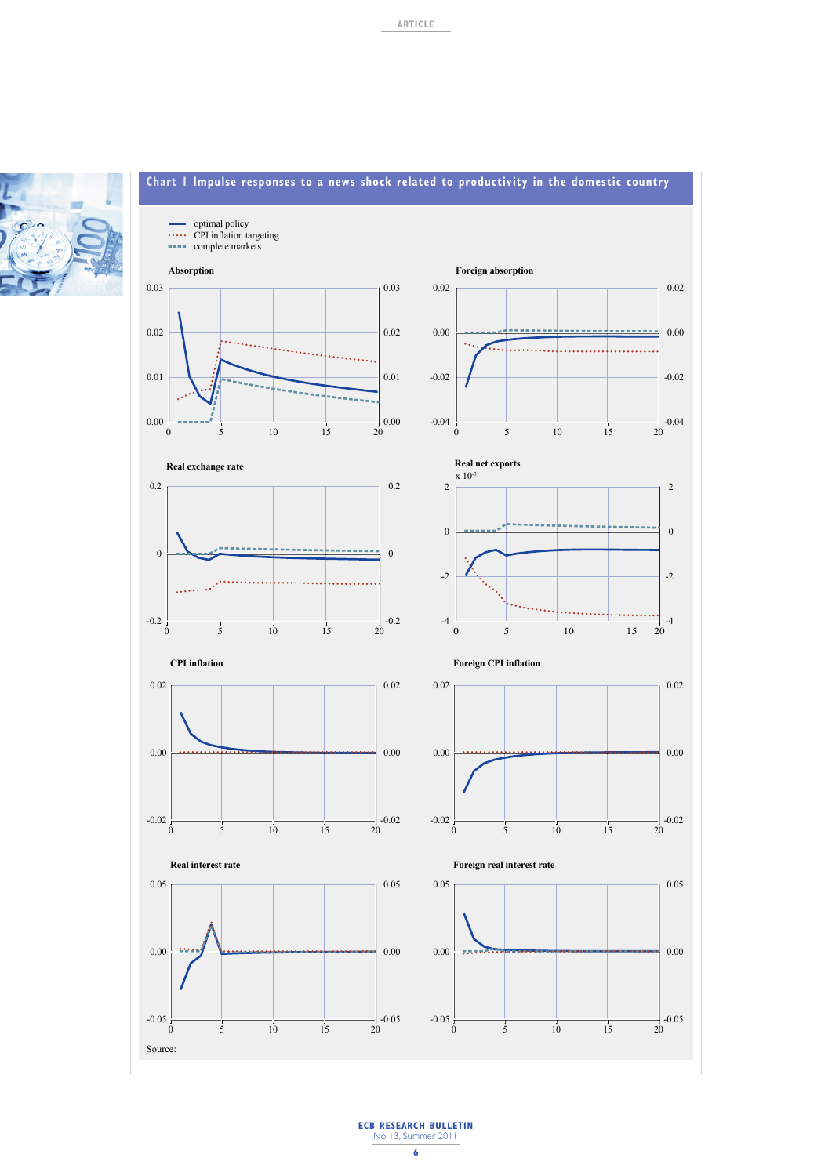



# **Chart 1 Impulse responses to a news shock related to productivity in the domestic country**

**ECB RESEARCH BULLETIN** No 13, Summer 2011 **6**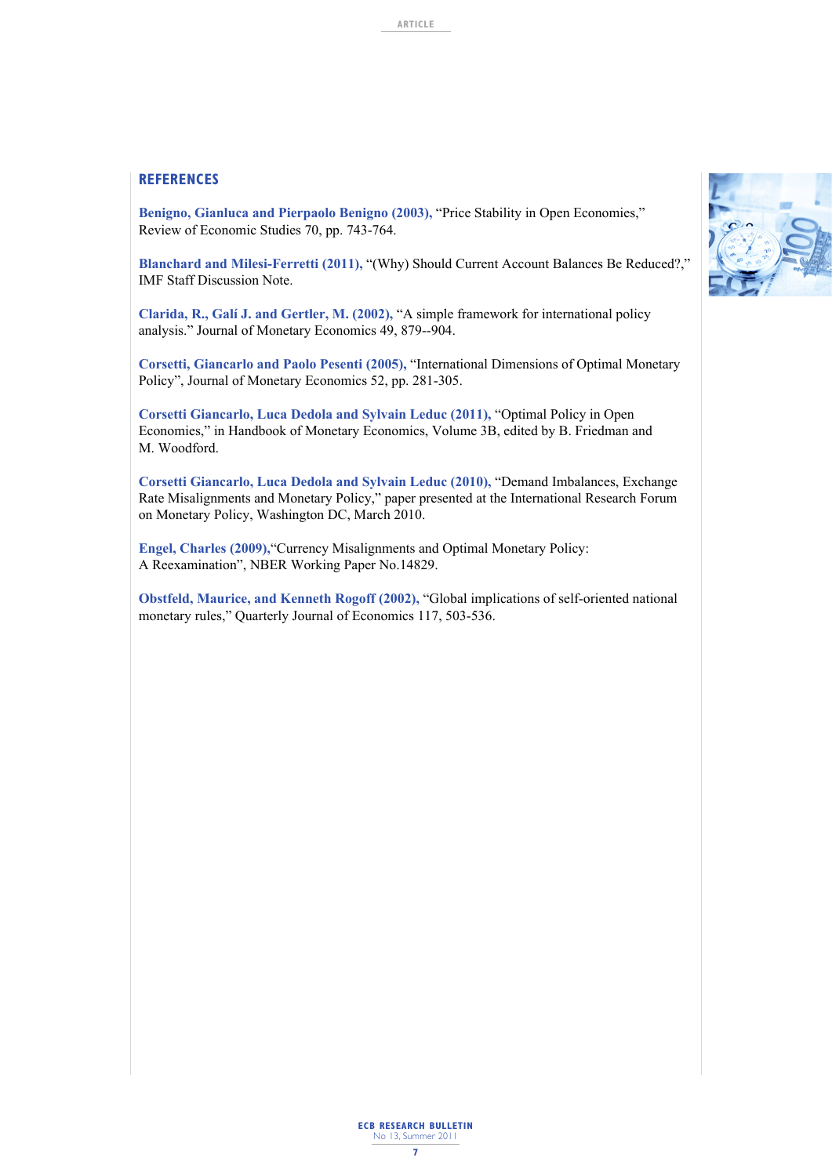#### **REFERENCES**

**Benigno, Gianluca and Pierpaolo Benigno (2003),** "Price Stability in Open Economies," Review of Economic Studies 70, pp. 743-764.

Blanchard and Milesi-Ferretti (2011), "(Why) Should Current Account Balances Be Reduced?," IMF Staff Discussion Note.

**Clarida, R., Galí J. and Gertler, M. (2002),** "A simple framework for international policy analysis." Journal of Monetary Economics 49, 879--904.

**Corsetti, Giancarlo and Paolo Pesenti (2005),** "International Dimensions of Optimal Monetary Policy", Journal of Monetary Economics 52, pp. 281-305.

**Corsetti Giancarlo, Luca Dedola and Sylvain Leduc (2011),** "Optimal Policy in Open Economies," in Handbook of Monetary Economics, Volume 3B, edited by B. Friedman and M. Woodford.

**Corsetti Giancarlo, Luca Dedola and Sylvain Leduc (2010),** "Demand Imbalances, Exchange Rate Misalignments and Monetary Policy," paper presented at the International Research Forum on Monetary Policy, Washington DC, March 2010.

**Engel, Charles (2009),**"Currency Misalignments and Optimal Monetary Policy: A Reexamination", NBER Working Paper No.14829.

**Obstfeld, Maurice, and Kenneth Rogoff (2002),** "Global implications of self-oriented national monetary rules," Quarterly Journal of Economics 117, 503-536.

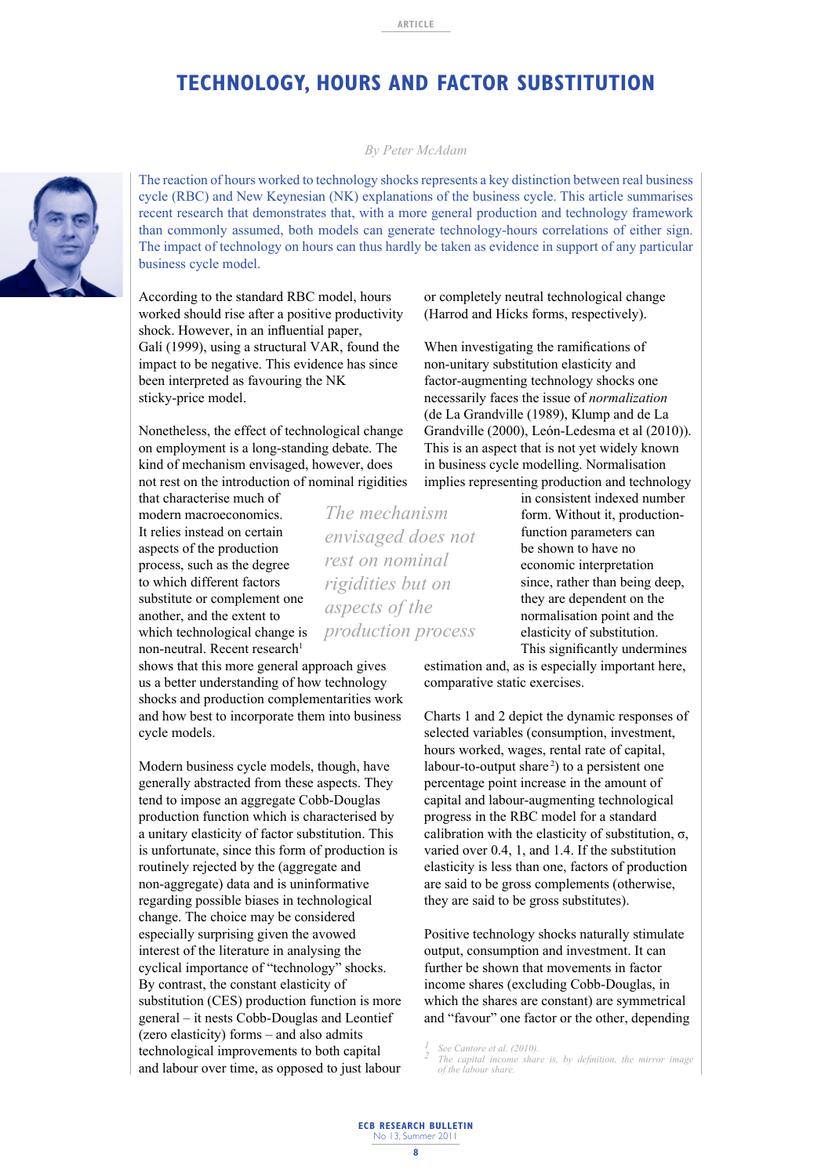# **TECHNOLOGY, HOURS AND FACTOR SUBSTITUTION**

#### *By Peter McAdam*

The reaction of hours worked to technology shocks represents a key distinction between real business cycle (RBC) and New Keynesian (NK) explanations of the business cycle. This article summarises recent research that demonstrates that, with a more general production and technology framework than commonly assumed, both models can generate technology-hours correlations of either sign. The impact of technology on hours can thus hardly be taken as evidence in support of any particular business cycle model.

*The mechanism* 

*envisaged does not rest on nominal rigidities but on aspects of the* 

*production process*

According to the standard RBC model, hours worked should rise after a positive productivity shock. However, in an influential paper, Galí (1999), using a structural VAR, found the impact to be negative. This evidence has since been interpreted as favouring the NK sticky-price model.

Nonetheless, the effect of technological change on employment is a long-standing debate. The kind of mechanism envisaged, however, does not rest on the introduction of nominal rigidities

that characterise much of modern macroeconomics. It relies instead on certain aspects of the production process, such as the degree to which different factors substitute or complement one another, and the extent to which technological change is non-neutral. Recent research<sup>1</sup>

shows that this more general approach gives us a better understanding of how technology shocks and production complementarities work and how best to incorporate them into business cycle models.

Modern business cycle models, though, have generally abstracted from these aspects. They tend to impose an aggregate Cobb-Douglas production function which is characterised by a unitary elasticity of factor substitution. This is unfortunate, since this form of production is routinely rejected by the (aggregate and non-aggregate) data and is uninformative regarding possible biases in technological change. The choice may be considered especially surprising given the avowed interest of the literature in analysing the cyclical importance of "technology" shocks. By contrast, the constant elasticity of substitution (CES) production function is more general – it nests Cobb-Douglas and Leontief (zero elasticity) forms – and also admits technological improvements to both capital and labour over time, as opposed to just labour or completely neutral technological change (Harrod and Hicks forms, respectively).

When investigating the ramifications of non-unitary substitution elasticity and factor-augmenting technology shocks one necessarily faces the issue of *normalization* (de La Grandville (1989), Klump and de La Grandville (2000), León-Ledesma et al (2010)). This is an aspect that is not yet widely known in business cycle modelling. Normalisation implies representing production and technology

in consistent indexed number form. Without it, productionfunction parameters can be shown to have no economic interpretation since, rather than being deep, they are dependent on the normalisation point and the elasticity of substitution. This significantly undermines

estimation and, as is especially important here, comparative static exercises.

Charts 1 and 2 depict the dynamic responses of selected variables (consumption, investment, hours worked, wages, rental rate of capital, labour-to-output share<sup>2</sup>) to a persistent one percentage point increase in the amount of capital and labour-augmenting technological progress in the RBC model for a standard calibration with the elasticity of substitution,  $\sigma$ , varied over 0.4, 1, and 1.4. If the substitution elasticity is less than one, factors of production are said to be gross complements (otherwise, they are said to be gross substitutes).

Positive technology shocks naturally stimulate output, consumption and investment. It can further be shown that movements in factor income shares (excluding Cobb-Douglas, in which the shares are constant) are symmetrical and "favour" one factor or the other, depending

*See Cantore et al. (2010). 1*  <sup>2</sup> The capital income share is, by definition, the mirror image of the labour share.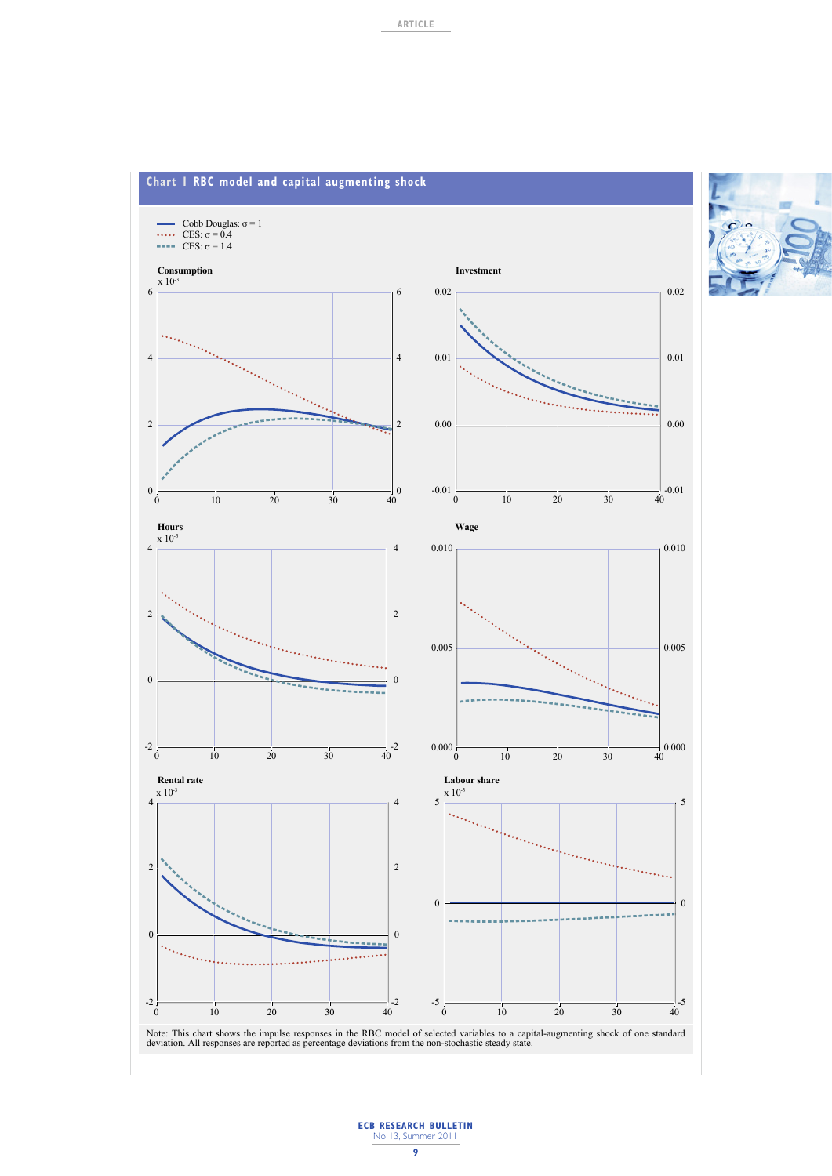

## **ECB RESEARCH BULLETIN** No 13, Summer 2011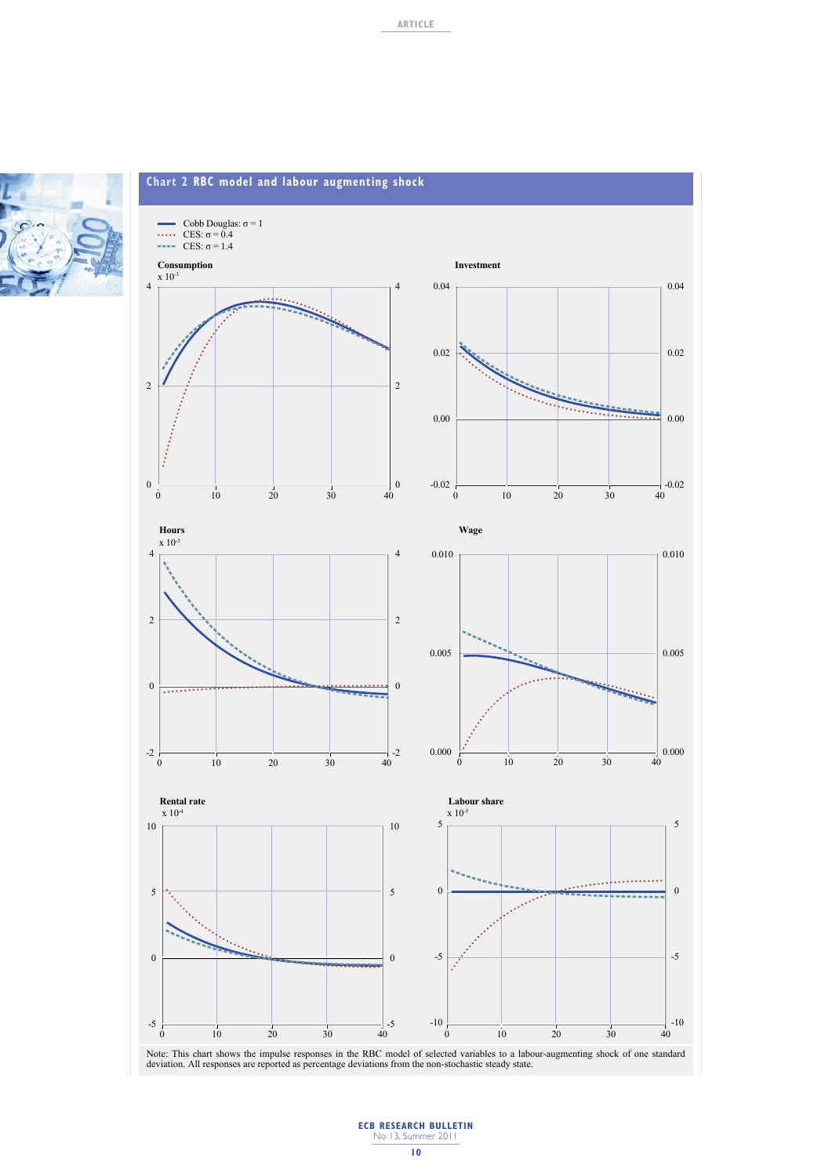



Note: This chart shows the impulse responses in the RBC model of selected variables to a labour-augmenting shock of one standard<br>deviation. All responses are reported as percentage deviations from the non-stochastic steady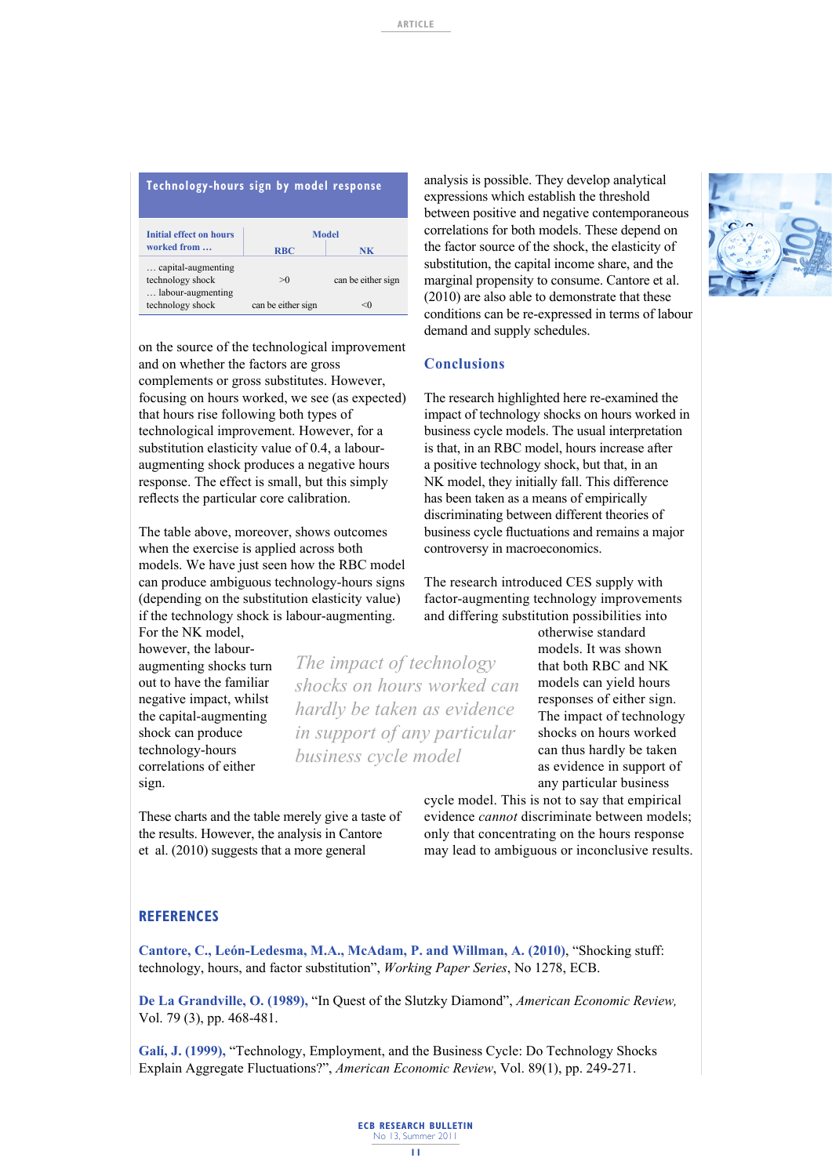| Technology-hours sign by model response                     |                                  |                    |  |
|-------------------------------------------------------------|----------------------------------|--------------------|--|
| <b>Initial effect on hours</b><br>worked from               | Model<br><b>RBC</b><br><b>NK</b> |                    |  |
| capital-augmenting<br>technology shock<br>labour-augmenting | >0                               | can be either sign |  |
| technology shock                                            | can be either sign               | <()                |  |

on the source of the technological improvement and on whether the factors are gross complements or gross substitutes. However, focusing on hours worked, we see (as expected) that hours rise following both types of technological improvement. However, for a substitution elasticity value of 0.4, a labouraugmenting shock produces a negative hours response. The effect is small, but this simply reflects the particular core calibration.

The table above, moreover, shows outcomes when the exercise is applied across both models. We have just seen how the RBC model can produce ambiguous technology-hours signs (depending on the substitution elasticity value) if the technology shock is labour-augmenting.

For the NK model however, the labouraugmenting shocks turn out to have the familiar negative impact, whilst the capital-augmenting shock can produce technology-hours correlations of either sign.

*The impact of technology shocks on hours worked can hardly be taken as evidence in support of any particular business cycle model*

These charts and the table merely give a taste of the results. However, the analysis in Cantore et al. (2010) suggests that a more general

analysis is possible. They develop analytical expressions which establish the threshold between positive and negative contemporaneous correlations for both models. These depend on the factor source of the shock, the elasticity of substitution, the capital income share, and the marginal propensity to consume. Cantore et al. (2010) are also able to demonstrate that these conditions can be re-expressed in terms of labour demand and supply schedules.

#### **Conclusions**

The research highlighted here re-examined the impact of technology shocks on hours worked in business cycle models. The usual interpretation is that, in an RBC model, hours increase after a positive technology shock, but that, in an NK model, they initially fall. This difference has been taken as a means of empirically discriminating between different theories of business cycle fluctuations and remains a major controversy in macroeconomics.

The research introduced CES supply with factor-augmenting technology improvements and differing substitution possibilities into

otherwise standard models. It was shown that both RBC and NK models can yield hours responses of either sign. The impact of technology shocks on hours worked can thus hardly be taken as evidence in support of any particular business

cycle model. This is not to say that empirical evidence *cannot* discriminate between models; only that concentrating on the hours response may lead to ambiguous or inconclusive results.

#### **REFERENCES**

**Cantore, C., León-Ledesma, M.A., McAdam, P. and Willman, A. (2010)**, "Shocking stuff: technology, hours, and factor substitution", *Working Paper Series*, No 1278, ECB.

**De La Grandville, O. (1989),** "In Quest of the Slutzky Diamond", *American Economic Review,*  Vol. 79 (3), pp. 468-481.

**Galí, J. (1999),** "Technology, Employment, and the Business Cycle: Do Technology Shocks Explain Aggregate Fluctuations?", *American Economic Review*, Vol. 89(1), pp. 249-271.

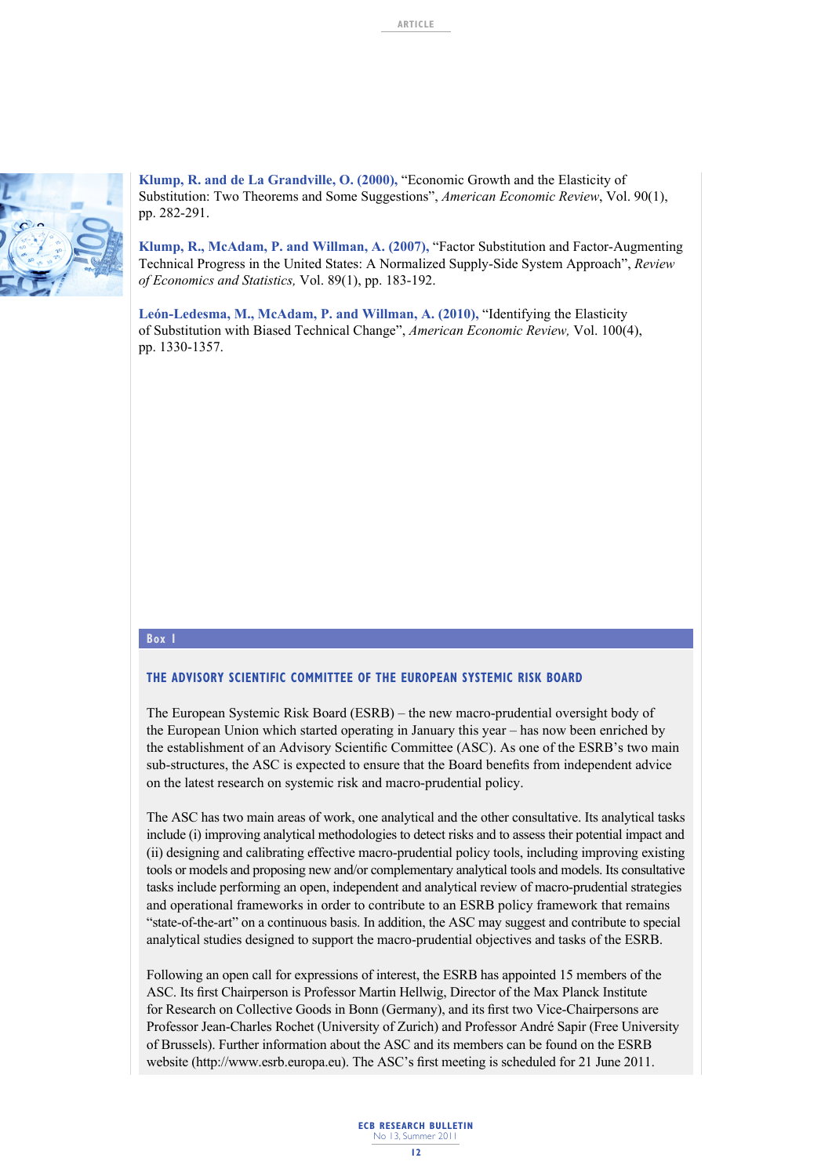

**Klump, R. and de La Grandville, O. (2000),** "Economic Growth and the Elasticity of Substitution: Two Theorems and Some Suggestions", *American Economic Review*, Vol. 90(1), pp. 282-291.

**Klump, R., McAdam, P. and Willman, A. (2007),** "Factor Substitution and Factor-Augmenting Technical Progress in the United States: A Normalized Supply-Side System Approach", *Review of Economics and Statistics,* Vol. 89(1), pp. 183-192.

**León-Ledesma, M., McAdam, P. and Willman, A. (2010),** "Identifying the Elasticity of Substitution with Biased Technical Change", *American Economic Review,* Vol. 100(4), pp. 1330-1357.

#### **Box 1**

#### **THE ADVISORY SCIENTIFIC COMMITTEE OF THE EUROPEAN SYSTEMIC RISK BOARD**

The European Systemic Risk Board (ESRB) – the new macro-prudential oversight body of the European Union which started operating in January this year – has now been enriched by the establishment of an Advisory Scientific Committee (ASC). As one of the ESRB's two main sub-structures, the ASC is expected to ensure that the Board benefits from independent advice on the latest research on systemic risk and macro-prudential policy.

The ASC has two main areas of work, one analytical and the other consultative. Its analytical tasks include (i) improving analytical methodologies to detect risks and to assess their potential impact and (ii) designing and calibrating effective macro-prudential policy tools, including improving existing tools or models and proposing new and/or complementary analytical tools and models. Its consultative tasks include performing an open, independent and analytical review of macro-prudential strategies and operational frameworks in order to contribute to an ESRB policy framework that remains "state-of-the-art" on a continuous basis. In addition, the ASC may suggest and contribute to special analytical studies designed to support the macro-prudential objectives and tasks of the ESRB.

Following an open call for expressions of interest, the ESRB has appointed 15 members of the ASC. Its first Chairperson is Professor Martin Hellwig, Director of the Max Planck Institute for Research on Collective Goods in Bonn (Germany), and its first two Vice-Chairpersons are Professor Jean-Charles Rochet (University of Zurich) and Professor André Sapir (Free University of Brussels). Further information about the ASC and its members can be found on the ESRB website (http://www.esrb.europa.eu). The ASC's first meeting is scheduled for 21 June 2011.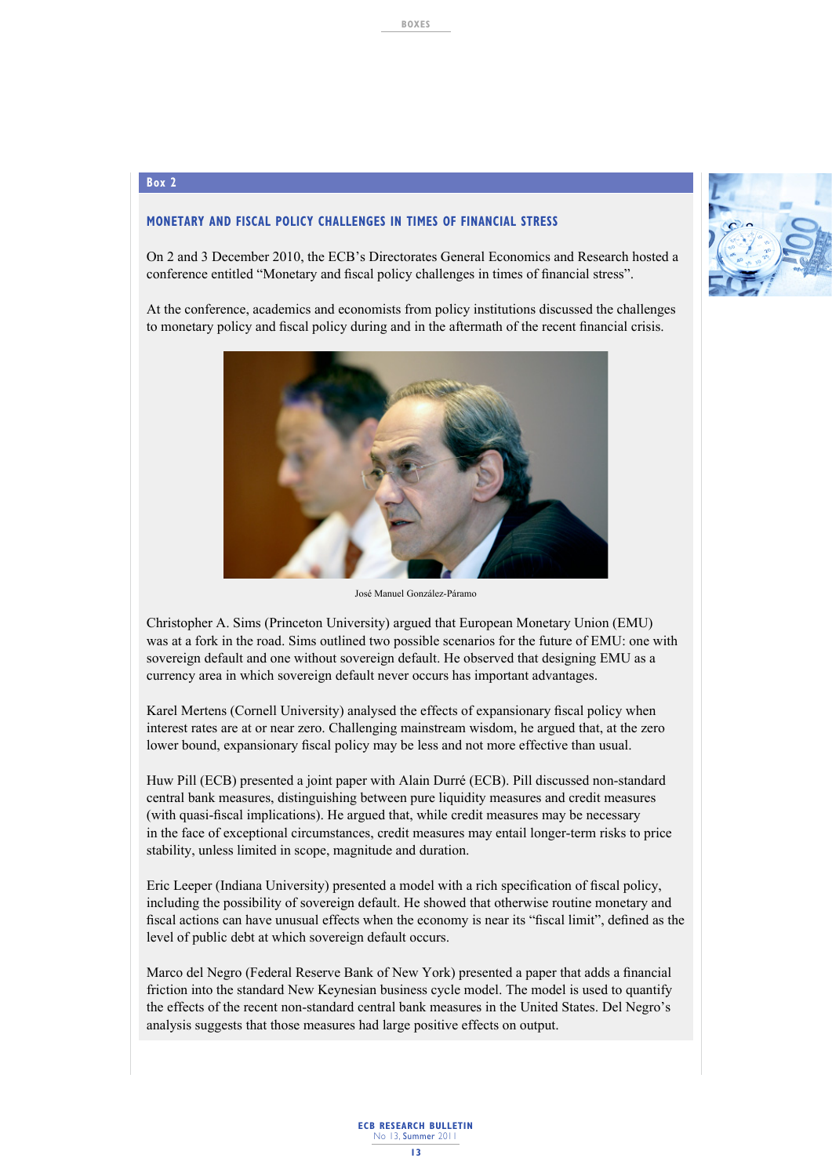#### **Box 2**

## **MONETARY AND FISCAL POLICY CHALLENGES IN TIMES OF FINANCIAL STRESS**

On 2 and 3 December 2010, the ECB's Directorates General Economics and Research hosted a conference entitled "Monetary and fiscal policy challenges in times of financial stress".

At the conference, academics and economists from policy institutions discussed the challenges to monetary policy and fiscal policy during and in the aftermath of the recent financial crisis.



José Manuel González-Páramo

Christopher A. Sims (Princeton University) argued that European Monetary Union (EMU) was at a fork in the road. Sims outlined two possible scenarios for the future of EMU: one with sovereign default and one without sovereign default. He observed that designing EMU as a currency area in which sovereign default never occurs has important advantages.

Karel Mertens (Cornell University) analysed the effects of expansionary fiscal policy when interest rates are at or near zero. Challenging mainstream wisdom, he argued that, at the zero lower bound, expansionary fiscal policy may be less and not more effective than usual.

Huw Pill (ECB) presented a joint paper with Alain Durré (ECB). Pill discussed non-standard central bank measures, distinguishing between pure liquidity measures and credit measures (with quasi-fiscal implications). He argued that, while credit measures may be necessary in the face of exceptional circumstances, credit measures may entail longer-term risks to price stability, unless limited in scope, magnitude and duration.

Eric Leeper (Indiana University) presented a model with a rich specification of fiscal policy, including the possibility of sovereign default. He showed that otherwise routine monetary and fiscal actions can have unusual effects when the economy is near its "fiscal limit", defined as the level of public debt at which sovereign default occurs.

Marco del Negro (Federal Reserve Bank of New York) presented a paper that adds a financial friction into the standard New Keynesian business cycle model. The model is used to quantify the effects of the recent non-standard central bank measures in the United States. Del Negro's analysis suggests that those measures had large positive effects on output.

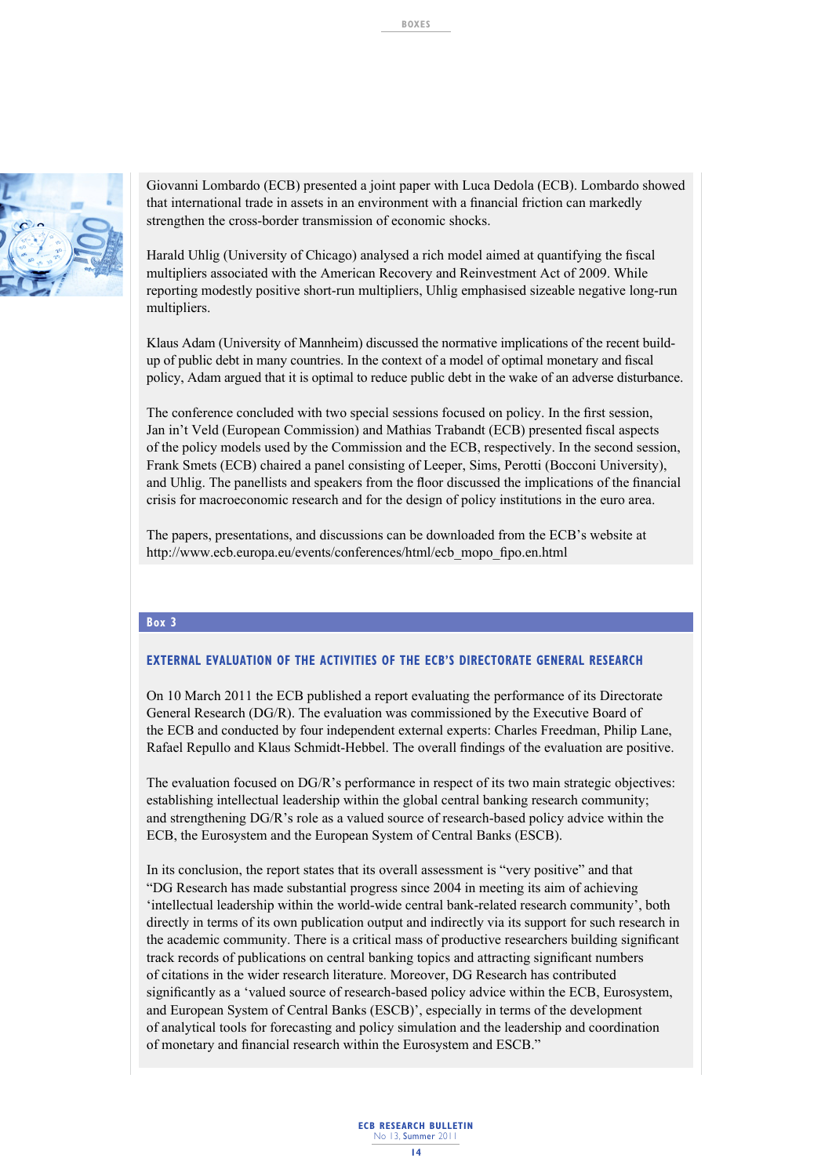

Giovanni Lombardo (ECB) presented a joint paper with Luca Dedola (ECB). Lombardo showed that international trade in assets in an environment with a financial friction can markedly strengthen the cross-border transmission of economic shocks.

Harald Uhlig (University of Chicago) analysed a rich model aimed at quantifying the fiscal multipliers associated with the American Recovery and Reinvestment Act of 2009. While reporting modestly positive short-run multipliers, Uhlig emphasised sizeable negative long-run multipliers.

Klaus Adam (University of Mannheim) discussed the normative implications of the recent buildup of public debt in many countries. In the context of a model of optimal monetary and fiscal policy, Adam argued that it is optimal to reduce public debt in the wake of an adverse disturbance.

The conference concluded with two special sessions focused on policy. In the first session, Jan in't Veld (European Commission) and Mathias Trabandt (ECB) presented fiscal aspects of the policy models used by the Commission and the ECB, respectively. In the second session, Frank Smets (ECB) chaired a panel consisting of Leeper, Sims, Perotti (Bocconi University), and Uhlig. The panellists and speakers from the floor discussed the implications of the financial crisis for macroeconomic research and for the design of policy institutions in the euro area.

The papers, presentations, and discussions can be downloaded from the ECB's website at http://www.ecb.europa.eu/events/conferences/html/ecb\_mopo\_fipo.en.html

#### **Box 3**

#### **EXTERNAL EVALUATION OF THE ACTIVITIES OF THE ECB'S DIRECTORATE GENERAL RESEARCH**

On 10 March 2011 the ECB published a report evaluating the performance of its Directorate General Research (DG/R). The evaluation was commissioned by the Executive Board of the ECB and conducted by four independent external experts: Charles Freedman, Philip Lane, Rafael Repullo and Klaus Schmidt-Hebbel. The overall findings of the evaluation are positive.

The evaluation focused on DG/R's performance in respect of its two main strategic objectives: establishing intellectual leadership within the global central banking research community; and strengthening DG/R's role as a valued source of research-based policy advice within the ECB, the Eurosystem and the European System of Central Banks (ESCB).

In its conclusion, the report states that its overall assessment is "very positive" and that "DG Research has made substantial progress since 2004 in meeting its aim of achieving 'intellectual leadership within the world-wide central bank-related research community', both directly in terms of its own publication output and indirectly via its support for such research in the academic community. There is a critical mass of productive researchers building significant track records of publications on central banking topics and attracting significant numbers of citations in the wider research literature. Moreover, DG Research has contributed significantly as a 'valued source of research-based policy advice within the ECB, Eurosystem, and European System of Central Banks (ESCB)', especially in terms of the development of analytical tools for forecasting and policy simulation and the leadership and coordination of monetary and financial research within the Eurosystem and ESCB."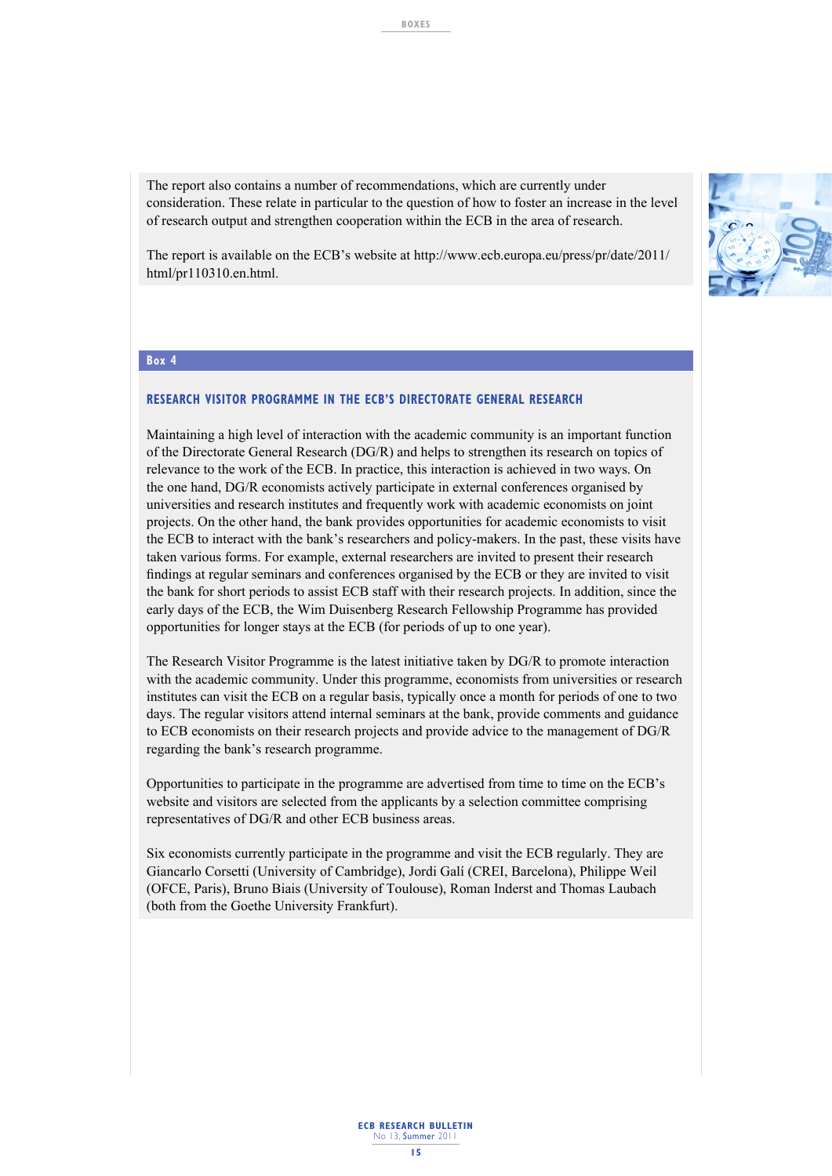The report also contains a number of recommendations, which are currently under consideration. These relate in particular to the question of how to foster an increase in the level of research output and strengthen cooperation within the ECB in the area of research.

The report is available on the ECB's website at http://www.ecb.europa.eu/press/pr/date/2011/ html/pr110310.en.html.

#### **Box 4**

#### **RESEARCH VISITOR PROGRAMME IN THE ECB'S DIRECTORATE GENERAL RESEARCH**

Maintaining a high level of interaction with the academic community is an important function of the Directorate General Research (DG/R) and helps to strengthen its research on topics of relevance to the work of the ECB. In practice, this interaction is achieved in two ways. On the one hand, DG/R economists actively participate in external conferences organised by universities and research institutes and frequently work with academic economists on joint projects. On the other hand, the bank provides opportunities for academic economists to visit the ECB to interact with the bank's researchers and policy-makers. In the past, these visits have taken various forms. For example, external researchers are invited to present their research findings at regular seminars and conferences organised by the ECB or they are invited to visit the bank for short periods to assist ECB staff with their research projects. In addition, since the early days of the ECB, the Wim Duisenberg Research Fellowship Programme has provided opportunities for longer stays at the ECB (for periods of up to one year).

The Research Visitor Programme is the latest initiative taken by DG/R to promote interaction with the academic community. Under this programme, economists from universities or research institutes can visit the ECB on a regular basis, typically once a month for periods of one to two days. The regular visitors attend internal seminars at the bank, provide comments and guidance to ECB economists on their research projects and provide advice to the management of DG/R regarding the bank's research programme.

Opportunities to participate in the programme are advertised from time to time on the ECB's website and visitors are selected from the applicants by a selection committee comprising representatives of DG/R and other ECB business areas.

Six economists currently participate in the programme and visit the ECB regularly. They are Giancarlo Corsetti (University of Cambridge), Jordi Galí (CREI, Barcelona), Philippe Weil (OFCE, Paris), Bruno Biais (University of Toulouse), Roman Inderst and Thomas Laubach (both from the Goethe University Frankfurt).